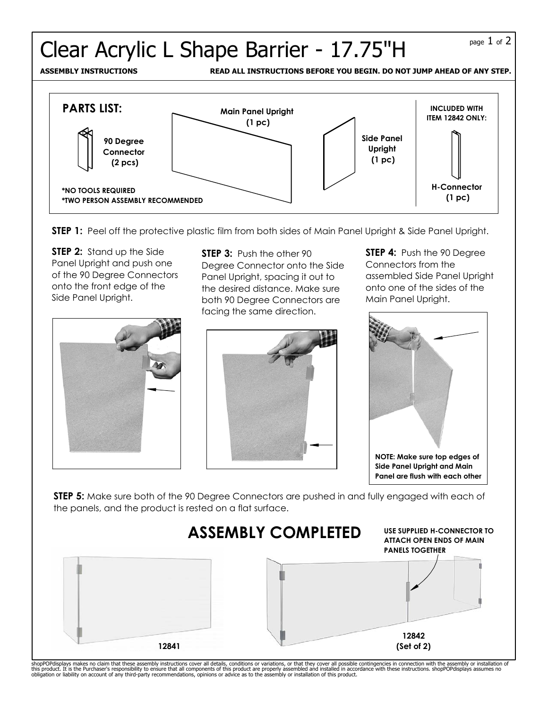## Clear Acrylic L Shape Barrier -  $17.75"H$

**ASSEMBLY INSTRUCTIONS READ ALL INSTRUCTIONS BEFORE YOU BEGIN. DO NOT JUMP AHEAD OF ANY STEP.**



**STEP 1:** Peel off the protective plastic film from both sides of Main Panel Upright & Side Panel Upright.

**STEP 2:** Stand up the Side Panel Upright and push one of the 90 Degree Connectors onto the front edge of the Side Panel Upright.

**STEP 3:** Push the other 90 Degree Connector onto the Side Panel Upright, spacing it out to the desired distance. Make sure both 90 Degree Connectors are facing the same direction.





**STEP 4: Push the 90 Degree** Connectors from the assembled Side Panel Upright onto one of the sides of the Main Panel Upright.



**STEP 5:** Make sure both of the 90 Degree Connectors are pushed in and fully engaged with each of the panels, and the product is rested on a flat surface.



shopPOPdisplays makes no claim that these assembly instructions cover all details, conditions or variations, or that they cover all possible contingencies in connection with the assembly or installation of<br>this product. It